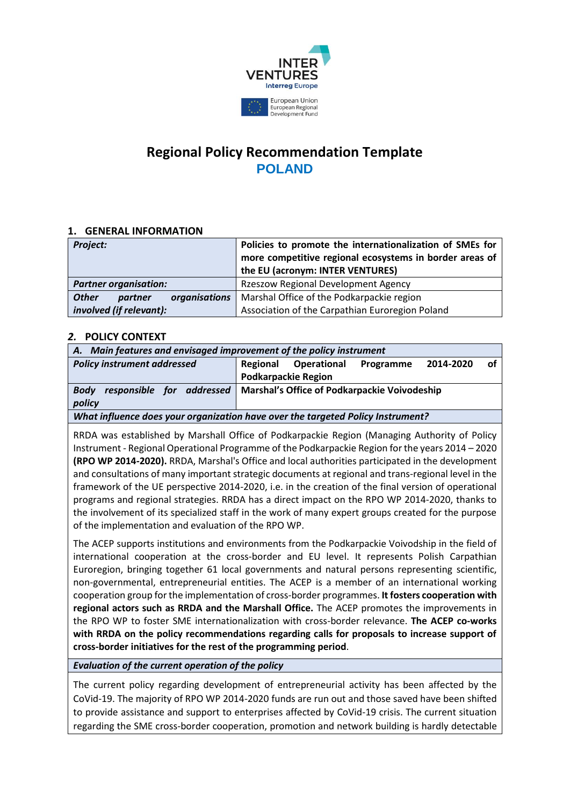

# **Regional Policy Recommendation Template POLAND**

## **1. GENERAL INFORMATION**

| Project:                                 | Policies to promote the internationalization of SMEs for<br>more competitive regional ecosystems in border areas of<br>the EU (acronym: INTER VENTURES) |
|------------------------------------------|---------------------------------------------------------------------------------------------------------------------------------------------------------|
| <b>Partner organisation:</b>             | <b>Rzeszow Regional Development Agency</b>                                                                                                              |
| <b>Other</b><br>organisations<br>partner | Marshal Office of the Podkarpackie region                                                                                                               |
| involved (if relevant):                  | Association of the Carpathian Euroregion Poland                                                                                                         |

## *2.* **POLICY CONTEXT**

| A. Main features and envisaged improvement of the policy instrument             |                                              |                    |           |           |    |
|---------------------------------------------------------------------------------|----------------------------------------------|--------------------|-----------|-----------|----|
| <b>Policy instrument addressed</b>                                              | Regional                                     | <b>Operational</b> | Programme | 2014-2020 | Ω1 |
|                                                                                 | <b>Podkarpackie Region</b>                   |                    |           |           |    |
| responsible for addressed<br><b>Body</b>                                        | Marshal's Office of Podkarpackie Voivodeship |                    |           |           |    |
| policy                                                                          |                                              |                    |           |           |    |
| What influence does your organization have over the targeted Policy Instrument? |                                              |                    |           |           |    |

RRDA was established by Marshall Office of Podkarpackie Region (Managing Authority of Policy Instrument - Regional Operational Programme of the Podkarpackie Region for the years 2014 – 2020 **(RPO WP 2014-2020).** RRDA, Marshal's Office and local authorities participated in the development and consultations of many important strategic documents at regional and trans-regional level in the framework of the UE perspective 2014-2020, i.e. in the creation of the final version of operational programs and regional strategies. RRDA has a direct impact on the RPO WP 2014-2020, thanks to the involvement of its specialized staff in the work of many expert groups created for the purpose of the implementation and evaluation of the RPO WP.

The ACEP supports institutions and environments from the Podkarpackie Voivodship in the field of international cooperation at the cross-border and EU level. It represents Polish Carpathian Euroregion, bringing together 61 local governments and natural persons representing scientific, non-governmental, entrepreneurial entities. The ACEP is a member of an international working cooperation group for the implementation of cross-border programmes. **It fosters cooperation with regional actors such as RRDA and the Marshall Office.** The ACEP promotes the improvements in the RPO WP to foster SME internationalization with cross-border relevance. **The ACEP co-works with RRDA on the policy recommendations regarding calls for proposals to increase support of cross-border initiatives for the rest of the programming period**.

## *Evaluation of the current operation of the policy*

The current policy regarding development of entrepreneurial activity has been affected by the CoVid-19. The majority of RPO WP 2014-2020 funds are run out and those saved have been shifted to provide assistance and support to enterprises affected by CoVid-19 crisis. The current situation regarding the SME cross-border cooperation, promotion and network building is hardly detectable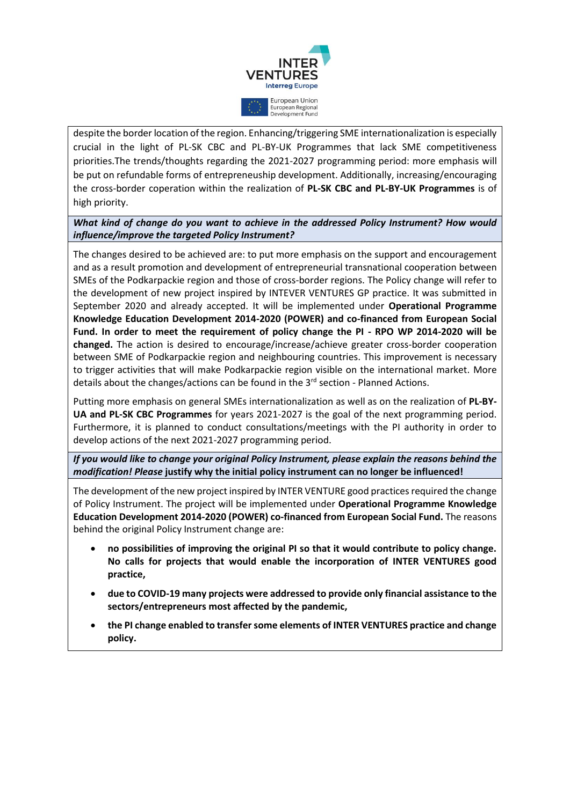

despite the border location of the region. Enhancing/triggering SME internationalization is especially crucial in the light of PL-SK CBC and PL-BY-UK Programmes that lack SME competitiveness priorities.The trends/thoughts regarding the 2021-2027 programming period: more emphasis will be put on refundable forms of entrepreneuship development. Additionally, increasing/encouraging the cross-border coperation within the realization of **PL-SK CBC and PL-BY-UK Programmes** is of high priority.

*What kind of change do you want to achieve in the addressed Policy Instrument? How would influence/improve the targeted Policy Instrument?*

The changes desired to be achieved are: to put more emphasis on the support and encouragement and as a result promotion and development of entrepreneurial transnational cooperation between SMEs of the Podkarpackie region and those of cross-border regions. The Policy change will refer to the development of new project inspired by INTEVER VENTURES GP practice. It was submitted in September 2020 and already accepted. It will be implemented under **Operational Programme Knowledge Education Development 2014-2020 (POWER) and co-financed from European Social Fund. In order to meet the requirement of policy change the PI - RPO WP 2014-2020 will be changed.** The action is desired to encourage/increase/achieve greater cross-border cooperation between SME of Podkarpackie region and neighbouring countries. This improvement is necessary to trigger activities that will make Podkarpackie region visible on the international market. More details about the changes/actions can be found in the  $3<sup>rd</sup>$  section - Planned Actions.

Putting more emphasis on general SMEs internationalization as well as on the realization of **PL-BY-UA and PL-SK CBC Programmes** for years 2021-2027 is the goal of the next programming period. Furthermore, it is planned to conduct consultations/meetings with the PI authority in order to develop actions of the next 2021-2027 programming period.

*If you would like to change your original Policy Instrument, please explain the reasons behind the modification! Please* **justify why the initial policy instrument can no longer be influenced!**

The development of the new project inspired by INTER VENTURE good practices required the change of Policy Instrument. The project will be implemented under **Operational Programme Knowledge Education Development 2014-2020 (POWER) co-financed from European Social Fund.** The reasons behind the original Policy Instrument change are:

- **no possibilities of improving the original PI so that it would contribute to policy change. No calls for projects that would enable the incorporation of INTER VENTURES good practice,**
- **due to COVID-19 many projects were addressed to provide only financial assistance to the sectors/entrepreneurs most affected by the pandemic,**
- **the PI change enabled to transfer some elements of INTER VENTURES practice and change policy.**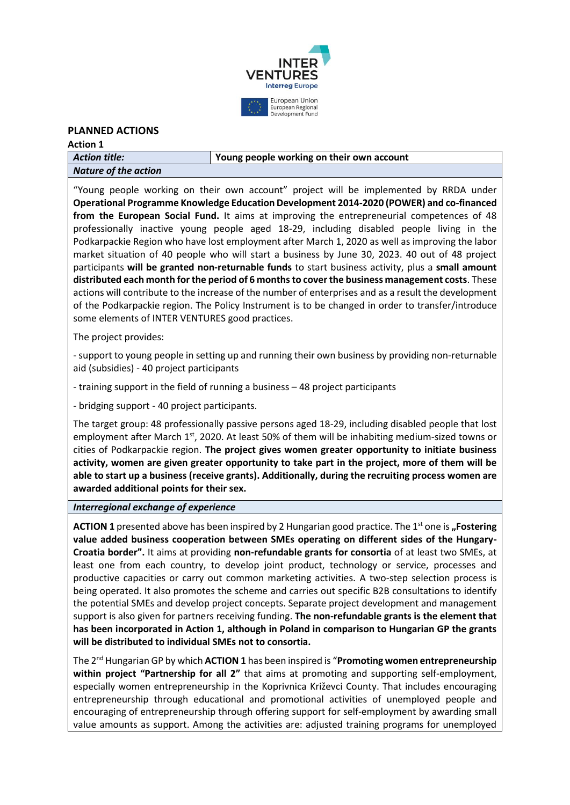

### **PLANNED ACTIONS**

| <b>Action 1</b>      |                                           |
|----------------------|-------------------------------------------|
| Action title:        | Young people working on their own account |
| Nature of the action |                                           |

"Young people working on their own account" project will be implemented by RRDA under **Operational Programme Knowledge Education Development 2014-2020 (POWER) and co-financed from the European Social Fund.** It aims at improving the entrepreneurial competences of 48 professionally inactive young people aged 18-29, including disabled people living in the Podkarpackie Region who have lost employment after March 1, 2020 as well as improving the labor market situation of 40 people who will start a business by June 30, 2023. 40 out of 48 project participants **will be granted non-returnable funds** to start business activity, plus a **small amount distributed each month for the period of 6 months to cover the business management costs**. These actions will contribute to the increase of the number of enterprises and as a result the development of the Podkarpackie region. The Policy Instrument is to be changed in order to transfer/introduce some elements of INTER VENTURES good practices.

The project provides:

- support to young people in setting up and running their own business by providing non-returnable aid (subsidies) - 40 project participants

- training support in the field of running a business – 48 project participants

- bridging support - 40 project participants.

The target group: 48 professionally passive persons aged 18-29, including disabled people that lost employment after March 1<sup>st</sup>, 2020. At least 50% of them will be inhabiting medium-sized towns or cities of Podkarpackie region. **The project gives women greater opportunity to initiate business activity, women are given greater opportunity to take part in the project, more of them will be able to start up a business (receive grants). Additionally, during the recruiting process women are awarded additional points for their sex.**

#### *Interregional exchange of experience*

**ACTION 1** presented above has been inspired by 2 Hungarian good practice. The 1<sup>st</sup> one is **"Fostering value added business cooperation between SMEs operating on different sides of the Hungary-Croatia border".** It aims at providing **non-refundable grants for consortia** of at least two SMEs, at least one from each country, to develop joint product, technology or service, processes and productive capacities or carry out common marketing activities. A two-step selection process is being operated. It also promotes the scheme and carries out specific B2B consultations to identify the potential SMEs and develop project concepts. Separate project development and management support is also given for partners receiving funding. **The non-refundable grants is the element that has been incorporated in Action 1, although in Poland in comparison to Hungarian GP the grants will be distributed to individual SMEs not to consortia.**

The 2nd Hungarian GP by which **ACTION 1** has been inspired is "**Promoting women entrepreneurship within project "Partnership for all 2"** that aims at promoting and supporting self-employment, especially women entrepreneurship in the Koprivnica Križevci County. That includes encouraging entrepreneurship through educational and promotional activities of unemployed people and encouraging of entrepreneurship through offering support for self-employment by awarding small value amounts as support. Among the activities are: adjusted training programs for unemployed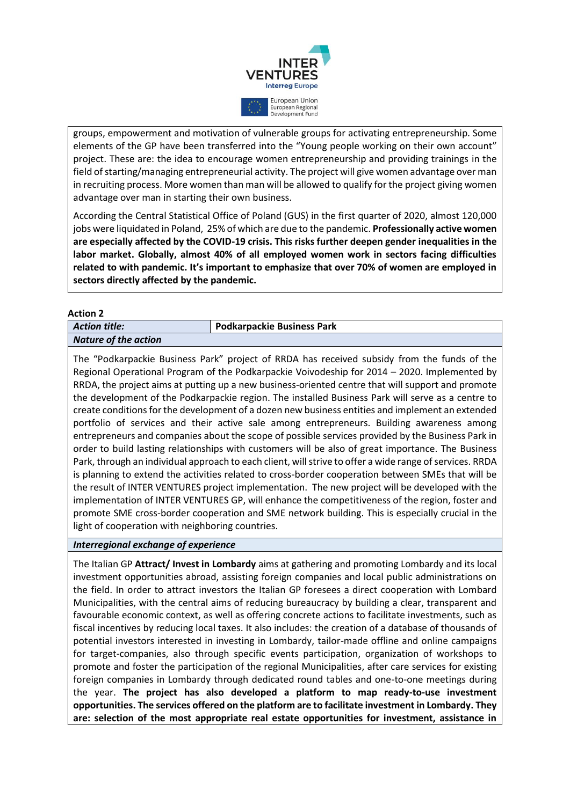

groups, empowerment and motivation of vulnerable groups for activating entrepreneurship. Some elements of the GP have been transferred into the "Young people working on their own account" project. These are: the idea to encourage women entrepreneurship and providing trainings in the field of starting/managing entrepreneurial activity. The project will give women advantage over man in recruiting process. More women than man will be allowed to qualify for the project giving women advantage over man in starting their own business.

According the Central Statistical Office of Poland (GUS) in the first quarter of 2020, almost 120,000 jobs were liquidated in Poland, 25% of which are due to the pandemic. **Professionally active women are especially affected by the COVID-19 crisis. This risks further deepen gender inequalities in the labor market. Globally, almost 40% of all employed women work in sectors facing difficulties related to with pandemic. It's important to emphasize that over 70% of women are employed in sectors directly affected by the pandemic.**

#### **Action 2**

| .                           |                                   |
|-----------------------------|-----------------------------------|
| <b>Action title:</b>        | <b>Podkarpackie Business Park</b> |
| <b>Nature of the action</b> |                                   |
|                             |                                   |

The "Podkarpackie Business Park" project of RRDA has received subsidy from the funds of the Regional Operational Program of the Podkarpackie Voivodeship for 2014 – 2020. Implemented by RRDA, the project aims at putting up a new business-oriented centre that will support and promote the development of the Podkarpackie region. The installed Business Park will serve as a centre to create conditions for the development of a dozen new business entities and implement an extended portfolio of services and their active sale among entrepreneurs. Building awareness among entrepreneurs and companies about the scope of possible services provided by the Business Park in order to build lasting relationships with customers will be also of great importance. The Business Park, through an individual approach to each client, will strive to offer a wide range of services. RRDA is planning to extend the activities related to cross-border cooperation between SMEs that will be the result of INTER VENTURES project implementation. The new project will be developed with the implementation of INTER VENTURES GP, will enhance the competitiveness of the region, foster and promote SME cross-border cooperation and SME network building. This is especially crucial in the light of cooperation with neighboring countries.

#### *Interregional exchange of experience*

The Italian GP **Attract/ Invest in Lombardy** aims at gathering and promoting Lombardy and its local investment opportunities abroad, assisting foreign companies and local public administrations on the field. In order to attract investors the Italian GP foresees a direct cooperation with Lombard Municipalities, with the central aims of reducing bureaucracy by building a clear, transparent and favourable economic context, as well as offering concrete actions to facilitate investments, such as fiscal incentives by reducing local taxes. It also includes: the creation of a database of thousands of potential investors interested in investing in Lombardy, tailor-made offline and online campaigns for target-companies, also through specific events participation, organization of workshops to promote and foster the participation of the regional Municipalities, after care services for existing foreign companies in Lombardy through dedicated round tables and one-to-one meetings during the year. **The project has also developed a platform to map ready-to-use investment opportunities. The services offered on the platform are to facilitate investment in Lombardy. They are: selection of the most appropriate real estate opportunities for investment, assistance in**